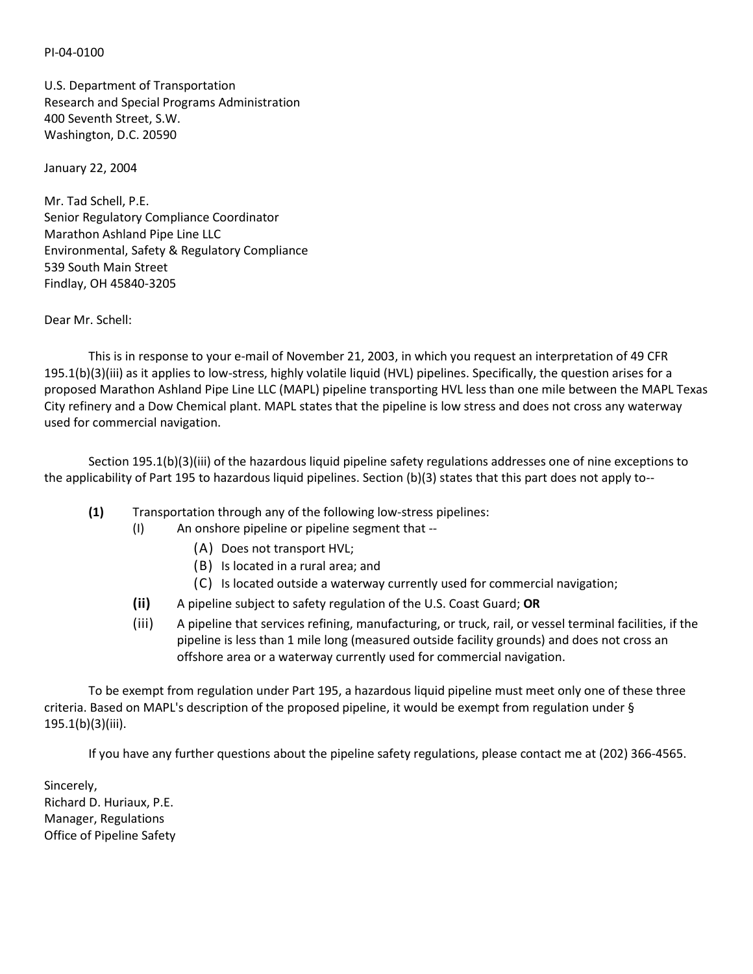PI-04-0100

U.S. Department of Transportation Research and Special Programs Administration 400 Seventh Street, S.W. Washington, D.C. 20590

January 22, 2004

Mr. Tad Schell, P.E. Senior Regulatory Compliance Coordinator Marathon Ashland Pipe Line LLC Environmental, Safety & Regulatory Compliance 539 South Main Street Findlay, OH 45840-3205

Dear Mr. Schell:

This is in response to your e-mail of November 21, 2003, in which you request an interpretation of 49 CFR 195.1(b)(3)(iii) as it applies to low-stress, highly volatile liquid (HVL) pipelines. Specifically, the question arises for a proposed Marathon Ashland Pipe Line LLC (MAPL) pipeline transporting HVL less than one mile between the MAPL Texas City refinery and a Dow Chemical plant. MAPL states that the pipeline is low stress and does not cross any waterway used for commercial navigation.

Section 195.1(b)(3)(iii) of the hazardous liquid pipeline safety regulations addresses one of nine exceptions to the applicability of Part 195 to hazardous liquid pipelines. Section (b)(3) states that this part does not apply to--

- **(1)** Transportation through any of the following low-stress pipelines:
	- (I) An onshore pipeline or pipeline segment that --
		- (A) Does not transport HVL;
		- (B) Is located in a rural area; and
		- (C) Is located outside a waterway currently used for commercial navigation;
	- **(ii)** A pipeline subject to safety regulation of the U.S. Coast Guard; **OR**
	- (iii) A pipeline that services refining, manufacturing, or truck, rail, or vessel terminal facilities, if the pipeline is less than 1 mile long (measured outside facility grounds) and does not cross an offshore area or a waterway currently used for commercial navigation.

To be exempt from regulation under Part 195, a hazardous liquid pipeline must meet only one of these three criteria. Based on MAPL's description of the proposed pipeline, it would be exempt from regulation under § 195.1(b)(3)(iii).

If you have any further questions about the pipeline safety regulations, please contact me at (202) 366-4565.

Sincerely, Richard D. Huriaux, P.E. Manager, Regulations Office of Pipeline Safety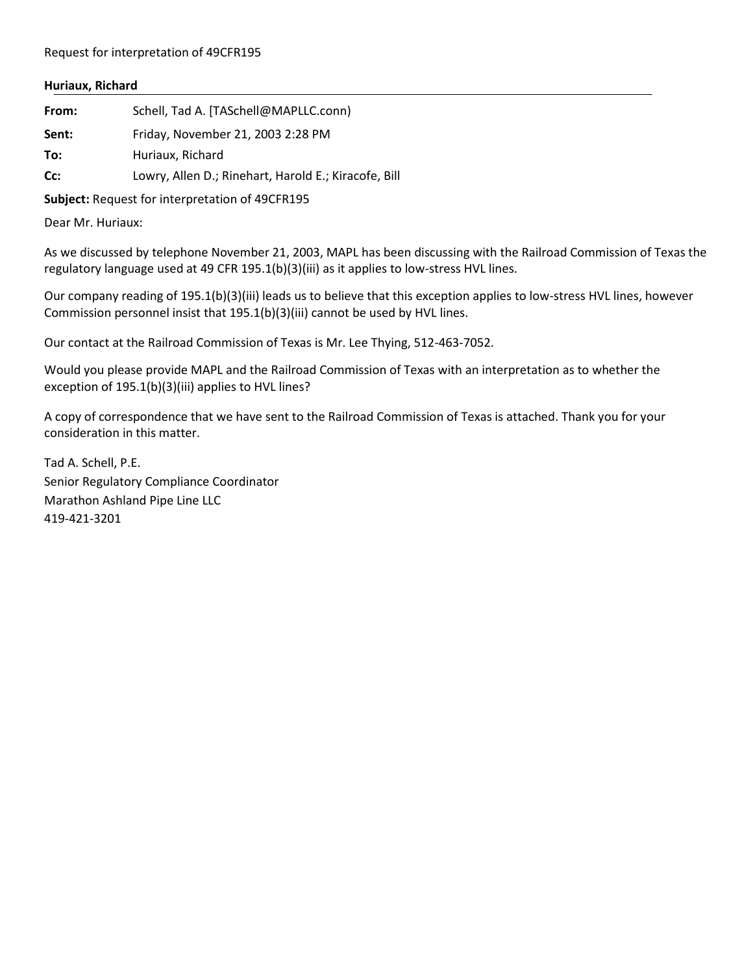## Request for interpretation of 49CFR195

## **Huriaux, Richard**

| From: | Schell, Tad A. [TASchell@MAPLLC.conn)                |
|-------|------------------------------------------------------|
| Sent: | Friday, November 21, 2003 2:28 PM                    |
| To:   | Huriaux, Richard                                     |
| Cc:   | Lowry, Allen D.; Rinehart, Harold E.; Kiracofe, Bill |

**Subject:** Request for interpretation of 49CFR195

Dear Mr. Huriaux:

As we discussed by telephone November 21, 2003, MAPL has been discussing with the Railroad Commission of Texas the regulatory language used at 49 CFR 195.1(b)(3)(iii) as it applies to low-stress HVL lines.

Our company reading of 195.1(b)(3)(iii) leads us to believe that this exception applies to low-stress HVL lines, however Commission personnel insist that 195.1(b)(3)(iii) cannot be used by HVL lines.

Our contact at the Railroad Commission of Texas is Mr. Lee Thying, 512-463-7052.

Would you please provide MAPL and the Railroad Commission of Texas with an interpretation as to whether the exception of 195.1(b)(3)(iii) applies to HVL lines?

A copy of correspondence that we have sent to the Railroad Commission of Texas is attached. Thank you for your consideration in this matter.

Tad A. Schell, P.E. Senior Regulatory Compliance Coordinator Marathon Ashland Pipe Line LLC 419-421-3201